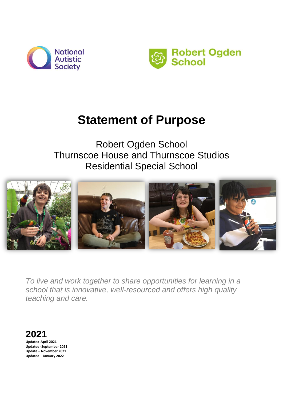



# **Statement of Purpose**

Robert Ogden School Thurnscoe House and Thurnscoe Studios Residential Special School



*To live and work together to share opportunities for learning in a school that is innovative, well-resourced and offers high quality teaching and care.*

**2021 Updated-April 2021 Updated -September 2021 Update – November 2021 Updated – January 2022**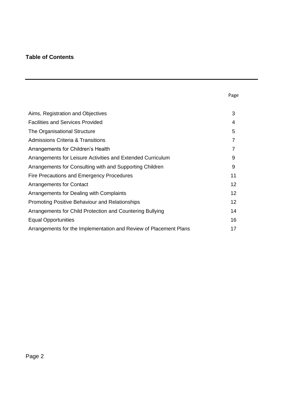## **Table of Contents**

| Aims, Registration and Objectives                                 |   |  |
|-------------------------------------------------------------------|---|--|
| <b>Facilities and Services Provided</b>                           |   |  |
| The Organisational Structure                                      |   |  |
| Admissions Criteria & Transitions                                 |   |  |
| Arrangements for Children's Health                                |   |  |
| Arrangements for Leisure Activities and Extended Curriculum       |   |  |
| Arrangements for Consulting with and Supporting Children          | 9 |  |
| Fire Precautions and Emergency Procedures                         |   |  |
| <b>Arrangements for Contact</b>                                   |   |  |
| Arrangements for Dealing with Complaints                          |   |  |
| <b>Promoting Positive Behaviour and Relationships</b>             |   |  |
| Arrangements for Child Protection and Countering Bullying         |   |  |
| <b>Equal Opportunities</b>                                        |   |  |
| Arrangements for the Implementation and Review of Placement Plans |   |  |
|                                                                   |   |  |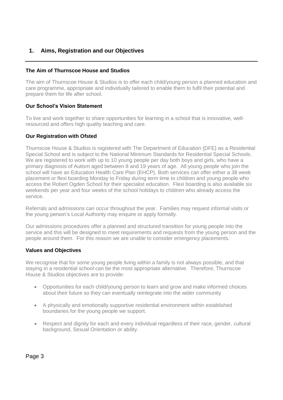## **1. Aims, Registration and our Objectives**

### **The Aim of Thurnscoe House and Studios**

The aim of Thurnscoe House & Studios is to offer each child/young person a planned education and care programme, appropriate and individually tailored to enable them to fulfil their potential and prepare them for life after school.

#### **Our School's Vision Statement**

To live and work together to share opportunities for learning in a school that is innovative, wellresourced and offers high quality teaching and care.

#### **Our Registration with Ofsted**

Thurnscoe House & Studios is registered with The Department of Education {DFE} as a Residential Special School and is subject to the National Minimum Standards for Residential Special Schools. We are registered to work with up to 10 young people per day both boys and girls, who have a primary diagnosis of Autism aged between 8 and 19 years of age. All young people who join the school will have an Education Health Care Plan (EHCP). Both services can offer either a 38 week placement or flexi boarding Monday to Friday during term time to children and young people who access the Robert Ogden School for their specialist education. Flexi boarding is also available six weekends per year and four weeks of the school holidays to children who already access the service.

Referrals and admissions can occur throughout the year. Families may request informal visits or the young person's Local Authority may enquire or apply formally.

Our admissions procedures offer a planned and structured transition for young people into the service and this will be designed to meet requirements and requests from the young person and the people around them. For this reason we are unable to consider emergency placements.

#### **Values and Objectives**

We recognise that for some young people living within a family is not always possible, and that staying in a residential school can be the most appropriate alternative. Therefore, Thurnscoe House & Studios objectives are to provide:

- Opportunities for each child/young person to learn and grow and make informed choices about their future so they can eventually reintegrate into the wider community
- A physically and emotionally supportive residential environment within established boundaries for the young people we support.
- Respect and dignity for each and every individual regardless of their race, gender, cultural background, Sexual Orientation or ability.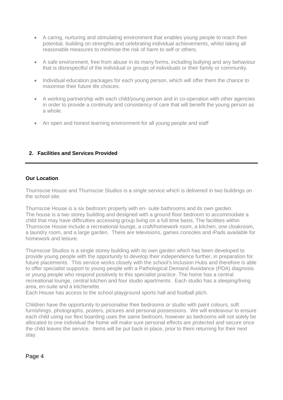- A caring, nurturing and stimulating environment that enables young people to reach their potential, building on strengths and celebrating individual achievements, whilst taking all reasonable measures to minimise the risk of harm to self or others.
- A safe environment, free from abuse in its many forms, including bullying and any behaviour that is disrespectful of the individual or groups of individuals or their family or community.
- Individual education packages for each young person, which will offer them the chance to maximise their future life choices.
- A working partnership with each child/young person and in co-operation with other agencies in order to provide a continuity and consistency of care that will benefit the young person as a whole.
- An open and honest learning environment for all young people and staff

## **2. Facilities and Services Provided**

### **Our Location**

Thurnscoe House and Thurnscoe Studios is a single service which is delivered in two buildings on the school site.

Thurnscoe House is a six bedroom property with en- suite bathrooms and its own garden. The house is a two storey building and designed with a ground floor bedroom to accommodate a child that may have difficulties accessing group living on a full time basis. The facilities within Thurnscoe House include a recreational lounge, a craft/homework room, a kitchen, one cloakroom, a laundry room, and a large garden. There are televisions, games consoles and iPads available for homework and leisure.

Thurnscoe Studios is a single storey building with its own garden which has been developed to provide young people with the opportunity to develop their independence further, in preparation for future placements. This service works closely with the school's Inclusion Hubs and therefore is able to offer specialist support to young people with a Pathological Demand Avoidance (PDA) diagnosis or young people who respond positively to this specialist practice. The home has a central recreational lounge, central kitchen and four studio apartments. Each studio has a sleeping/living area, en-suite and a kitchenette.

Each House has access to the school playground sports hall and football pitch.

Children have the opportunity to personalise their bedrooms or studio with paint colours, soft furnishings, photographs, posters, pictures and personal possessions. We will endeavour to ensure each child using our flexi boarding uses the same bedroom, however as bedrooms will not solely be allocated to one individual the home will make sure personal effects are protected and secure once the child leaves the service. Items will be put back in place, prior to them returning for their next stay.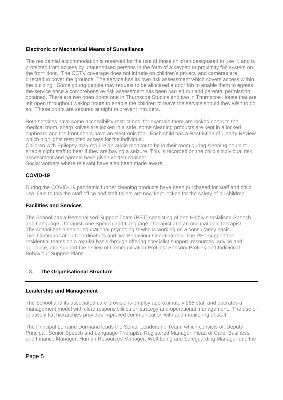## **Electronic or Mechanical Means of Surveillance**

The residential accommodation is reserved for the use of those children designated to use it, and is protected from access by unauthorised persons in the form of a keypad or proximity fob system on the front door. The CCTV coverage does not intrude on children's privacy and cameras are directed to cover the grounds. The service has its own risk assessment which covers access within the building. Some young people may request to be allocated a door fob to enable them to egress the service once a comprehensive risk assessment has been carried out and parental permission obtained. There are two open doors one in Thurnscoe Studios and two in Thurnscoe House that are left open throughout waking hours to enable the children to leave the service should they wish to do so. These doors are secured at night to prevent intruders.

Both services have some accessibility restrictions, for example there are locked doors to the medical room, sharp knives are locked in a safe, some cleaning products are kept in a locked cupboard and the front doors have an electronic fob. Each child has a Restriction of Liberty Review which highlights restricted access for the individual.

Children with Epilepsy may require an audio monitor to be in their room during sleeping hours to enable night staff to hear if they are having a seizure. This is recorded on the child's individual risk assessment and parents have given written consent.

Social workers where relevant have also been made aware.

## **COVID-19**

During the COVID-19 pandemic further cleaning products have been purchased for staff and child use. Due to this the staff office and staff toilets are now kept locked for the safety of all children.

#### **Facilities and Services**

The School has a Personalised Support Team (PST) consisting of one Highly specialised Speech and Language Therapist, one Speech and Language Therapist and an occupational therapist. The school has a senior educational psychologist who is working on a consultancy basis. Two Communication Coordinator's and two Behaviour Coordinator's. The PST support the residential teams on a regular basis through offering specialist support, resources, advice and guidance, and support the review of Communication Profiles, Sensory Profiles and Individual Behaviour Support Plans.

## **3. The Organisational Structure**

#### **Leadership and Management**

The School and its associated care provisions employ approximately 265 staff and operates a management model with clear responsibilities on strategy and operational management. The use of relatively flat hierarchies provides improved communication with and monitoring of staff.

The Principal Lorraine Dormand leads the Senior Leadership Team, which consists of: Deputy Principal, Senior Speech and Language Therapist, Registered Manager, Head of Care, Business and Finance Manager, Human Resources Manager, Well-being and Safeguarding Manager and the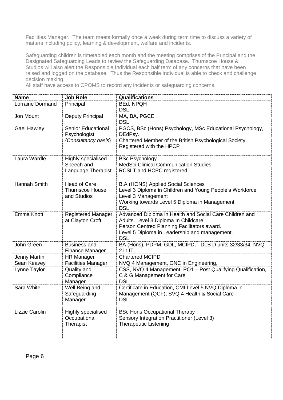Facilities Manager. The team meets formally once a week during term time to discuss a variety of matters including policy, learning & development, welfare and incidents.

Safeguarding children is timetabled each month and the meeting comprises of the Principal and the Designated Safeguarding Leads to review the Safeguarding Database. Thurnscoe House & Studios will also alert the Responsible Individual each half term of any concerns that have been raised and logged on the database. Thus the Responsible Individual is able to check and challenge decision making.

All staff have access to CPOMS to record any incidents or safeguarding concerns.

| <b>Name</b>        | <b>Job Role</b>                                                  | Qualifications                                                                                                                                                                                                 |
|--------------------|------------------------------------------------------------------|----------------------------------------------------------------------------------------------------------------------------------------------------------------------------------------------------------------|
| Lorraine Dormand   | Principal                                                        | <b>BEd, NPQH</b><br><b>DSL</b>                                                                                                                                                                                 |
| Jon Mount          | Deputy Principal                                                 | MA, BA, PGCE<br><b>DSL</b>                                                                                                                                                                                     |
| <b>Gael Hawley</b> | <b>Senior Educational</b><br>Psychologist<br>{Consultancy basis} | PGCS, BSc (Hons) Psychology, MSc Educational Psychology,<br>DEdPsy.<br>Chartered Member of the British Psychological Society,<br>Registered with the HPCP                                                      |
| Laura Wardle       | Highly specialised<br>Speech and<br>Language Therapist           | <b>BSc Psychology</b><br><b>MedSci Clinical Communication Studies</b><br><b>RCSLT and HCPC registered</b>                                                                                                      |
| Hannah Smith       | <b>Head of Care</b><br><b>Thurnscoe House</b><br>and Studios     | <b>B.A (HONS) Applied Social Sciences</b><br>Level 3 Diploma in Children and Young People's Workforce<br>Level 3 Management<br>Working towards Level 5 Diploma in Management<br><b>DSL</b>                     |
| Emma Knott         | <b>Registered Manager</b><br>at Clayton Croft                    | Advanced Diploma in Health and Social Care Children and<br>Adults. Level 3 Diploma In Childcare,<br>Person Centred Planning Facilitators award.<br>Level 5 Diploma in Leadership and management.<br><b>DSL</b> |
| John Green         | <b>Business and</b><br>Finance Manager                           | BA (Hons), PDPM, GDL, MCIPD, TDLB D units 32/33/34, NVQ<br>$2$ in IT.                                                                                                                                          |
| Jenny Martin       | <b>HR Manager</b>                                                | <b>Chartered MCIPD</b>                                                                                                                                                                                         |
| Sean Keavey        | <b>Facilities Manager</b>                                        | NVQ 4 Management, ONC in Engineering,                                                                                                                                                                          |
| Lynne Taylor       | Quality and<br>Compliance<br>Manager                             | CSS, NVQ 4 Management, PQ1 - Post Qualifying Qualification,<br>C & G Management for Care<br><b>DSL</b>                                                                                                         |
| Sara White         | Well Being and<br>Safeguarding<br>Manager                        | Certificate in Education, CMI Level 5 NVQ Diploma in<br>Management (QCF), SVQ 4 Health & Social Care<br><b>DSL</b>                                                                                             |
| Lizzie Carolin     | Highly specialised<br>Occupational<br>Therapist                  | <b>BSc Hons Occupational Therapy</b><br>Sensory Integration Practitioner (Level 3)<br><b>Therapeutic Listening</b>                                                                                             |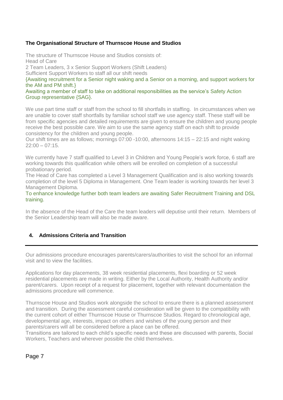## **The Organisational Structure of Thurnscoe House and Studios**

The structure of Thurnscoe House and Studios consists of: Head of Care 2 Team Leaders, 3 x Senior Support Workers (Shift Leaders) Sufficient Support Workers to staff all our shift needs {Awaiting recruitment for a Senior night waking and a Senior on a morning, and support workers for the AM and PM shift.}

Awaiting a member of staff to take on additional responsibilities as the service's Safety Action Group representative {SAG}.

We use part time staff or staff from the school to fill shortfalls in staffing. In circumstances when we are unable to cover staff shortfalls by familiar school staff we use agency staff. These staff will be from specific agencies and detailed requirements are given to ensure the children and young people receive the best possible care. We aim to use the same agency staff on each shift to provide consistency for the children and young people.

Our shift times are as follows; mornings 07:00 -10:00, afternoons 14:15 – 22:15 and night waking  $22:00 - 07:15$ .

We currently have 7 staff qualified to Level 3 in Children and Young People's work force, 6 staff are working towards this qualification while others will be enrolled on completion of a successful probationary period.

The Head of Care has completed a Level 3 Management Qualification and is also working towards completion of the level 5 Diploma in Management. One Team leader is working towards her level 3 Management Diploma.

To enhance knowledge further both team leaders are awaiting Safer Recruitment Training and DSL training.

In the absence of the Head of the Care the team leaders will deputise until their return. Members of the Senior Leadership team will also be made aware.

#### **4. Admissions Criteria and Transition**

Our admissions procedure encourages parents/carers/authorities to visit the school for an informal visit and to view the facilities.

Applications for day placements, 38 week residential placements, flexi boarding or 52 week residential placements are made in writing. Either by the Local Authority, Health Authority and/or parent/carers. Upon receipt of a request for placement, together with relevant documentation the admissions procedure will commence.

Thurnscoe House and Studios work alongside the school to ensure there is a planned assessment and transition. During the assessment careful consideration will be given to the compatibility with the current cohort of either Thurnscoe House or Thurnscoe Studios. Regard to chronological age, developmental age, interests, impact on others and wishes of the young person and their parents/carers will all be considered before a place can be offered.

Transitions are tailored to each child's specific needs and these are discussed with parents, Social Workers, Teachers and wherever possible the child themselves.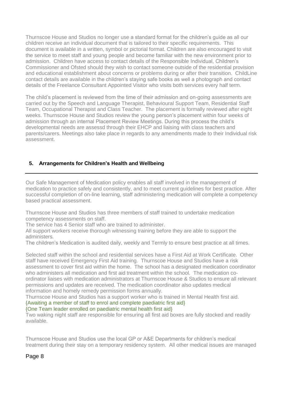Thurnscoe House and Studios no longer use a standard format for the children's guide as all our children receive an individual document that is tailored to their specific requirements. This document is available in a written, symbol or pictorial format. Children are also encouraged to visit the service to meet staff and young people and become familiar with the new environment prior to admission. Children have access to contact details of the Responsible Individual, Children's Commissioner and Ofsted should they wish to contact someone outside of the residential provision and educational establishment about concerns or problems during or after their transition. ChildLine contact details are available in the children's staying safe books as well a photograph and contact details of the Freelance Consultant Appointed Visitor who visits both services every half term.

The child's placement is reviewed from the time of their admission and on-going assessments are carried out by the Speech and Language Therapist, Behavioural Support Team, Residential Staff Team, Occupational Therapist and Class Teacher. The placement is formally reviewed after eight weeks. Thurnscoe House and Studios review the young person's placement within four weeks of admission through an internal Placement Review Meetings. During this process the child's developmental needs are assessd through their EHCP and liaising with class teachers and parents/carers. Meetings also take place in regards to any amendments made to their Individual risk assessment.

## **5. Arrangements for Children's Health and Wellbeing**

Our Safe Management of Medication policy enables all staff involved in the management of medication to practice safely and consistently, and to meet current guidelines for best practice. After successful completion of on-line learning, staff administering medication will complete a competency based practical assessment.

Thurnscoe House and Studios has three members of staff trained to undertake medication competency assessments on staff.

The service has 4 Senior staff who are trained to administer.

All support workers receive thorough witnessing training before they are able to support the administers.

The children's Medication is audited daily, weekly and Termly to ensure best practice at all times.

Selected staff within the school and residential services have a First Aid at Work Certificate. Other staff have received Emergency First Aid training. Thurnscoe House and Studios have a risk assessment to cover first aid within the home. The school has a designated medication coordinator who administers all medication and first aid treatment within the school. The medication coordinator liaises with medication administrators at Thurnscoe House & Studios to ensure all relevant permissions and updates are received. The medication coordinator also updates medical information and homely remedy permission forms annually.

Thurnscoe House and Studios has a support worker who is trained in Mental Health first aid.

{Awaiting a member of staff to enrol and complete paediatric first aid}

{One Team leader enrolled on paediatric mental health first aid}

Two waking night staff are responsible for ensuring all first aid boxes are fully stocked and readily available.

Thurnscoe House and Studios use the local GP or A&E Departments for children's medical treatment during their stay on a temporary residency system. All other medical issues are managed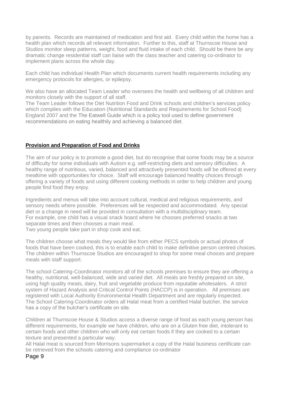by parents. Records are maintained of medication and first aid. Every child within the home has a health plan which records all relevant information. Further to this, staff at Thurnscoe House and Studios monitor sleep patterns, weight, food and fluid intake of each child. Should be there be any dramatic change residential staff can liaise with the class teacher and catering co-ordinator to implement plans across the whole day.

Each child has individual Health Plan which documents current health requirements including any emergency protocols for allergies, or epilepsy.

We also have an allocated Team Leader who oversees the health and wellbeing of all children and monitors closely with the support of all staff.

The Team Leader follows the Diet Nutrition Food and Drink schools and children's services policy which complies with the Education (Nutritional Standards and Requirements for School Food) England 2007 and the The Eatwell Guide which is a policy tool used to define government recommendations on eating healthily and achieving a balanced diet.

### **Provision and Preparation of Food and Drinks**

The aim of our policy is to promote a good diet, but do recognise that some foods may be a source of difficulty for some individuals with Autism e.g. self-restricting diets and sensory difficulties. A healthy range of nutritious, varied, balanced and attractively presented foods will be offered at every mealtime with opportunities for choice. Staff will encourage balanced healthy choices through offering a variety of foods and using different cooking methods in order to help children and young people find food they enjoy.

Ingredients and menus will take into account cultural, medical and religious requirements, and sensory needs where possible. Preferences will be respected and accommodated. Any special diet or a change in need will be provided in consultation with a multidisciplinary team. For example, one child has a visual snack board where he chooses preferred snacks at two separate times and then chooses a main meal.

Two young people take part in shop cook and eat.

The children choose what meals they would like from either PECS symbols or actual photos of foods that have been cooked, this is to enable each child to make definitive person centred choices. The children within Thurnscoe Studios are encouraged to shop for some meal choices and prepare meals with staff support.

The school Catering-Coordinator monitors all of the schools premises to ensure they are offering a healthy, nutritional, well-balanced, wide and varied diet. All meals are freshly prepared on site, using high quality meats, dairy, fruit and vegetable produce from reputable wholesalers. A strict system of Hazard Analysis and Critical Control Points (HACCP) is in operation. All premises are registered with Local Authority Environmental Health Department and are regularly inspected. The School Catering-Coordinator orders all Halal meat from a certified Halal butcher, the service has a copy of the butcher's certificate on site.

Children at Thurnscoe House & Studios access a diverse range of food as each young person has different requirements, for example we have children, who are on a Gluten free diet, intolerant to certain foods and other children who will only eat certain foods if they are cooked to a certain texture and presented a particular way.

All Halal meat is sourced from Morrisons supermarket a copy of the Halal business certificate can be retrieved from the schools catering and compliance co-ordinator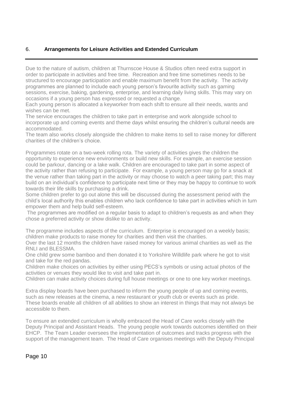## 6. **Arrangements for Leisure Activities and Extended Curriculum**

Due to the nature of autism, children at Thurnscoe House & Studios often need extra support in order to participate in activities and free time. Recreation and free time sometimes needs to be structured to encourage participation and enable maximum benefit from the activity. The activity programmes are planned to include each young person's favourite activity such as gaming sessions, exercise, baking, gardening, enterprise, and learning daily living skills. This may vary on occasions if a young person has expressed or requested a change.

Each young person is allocated a keyworker from each shift to ensure all their needs, wants and wishes can be met.

The service encourages the children to take part in enterprise and work alongside school to incorporate up and coming events and theme days whilst ensuring the children's cultural needs are accommodated.

The team also works closely alongside the children to make items to sell to raise money for different charities of the children's choice.

Programmes rotate on a two-week rolling rota. The variety of activities gives the children the opportunity to experience new environments or build new skills. For example, an exercise session could be parkour, dancing or a lake walk. Children are encouraged to take part in some aspect of the activity rather than refusing to participate. For example, a young person may go for a snack at the venue rather than taking part in the activity or may choose to watch a peer taking part; this may build on an individual's confidence to participate next time or they may be happy to continue to work towards their life skills by purchasing a drink.

Some children prefer to go out alone this will be discussed during the assessment period with the child's local authority this enables children who lack confidence to take part in activities which in turn empower them and help build self-esteem.

The programmes are modified on a regular basis to adapt to children's requests as and when they chose a preferred activity or show dislike to an activity.

The programme includes aspects of the curriculum. Enterprise is encouraged on a weekly basis; children make products to raise money for charities and then visit the charities.

Over the last 12 months the children have raised money for various animal charities as well as the RNLI and BLESSMA.

One child grew some bamboo and then donated it to Yorkshire Willdlife park where he got to visit and take for the red pandas.

Children make choices on activities by either using PECS's symbols or using actual photos of the activities or venues they would like to visit and take part in.

Children can make activity choices during full house meetings or one to one key worker meetings.

Extra display boards have been purchased to inform the young people of up and coming events, such as new releases at the cinema, a new restaurant or youth club or events such as pride. These boards enable all children of all abilities to show an interest in things that may not always be accessible to them.

To ensure an extended curriculum is wholly embraced the Head of Care works closely with the Deputy Principal and Assistant Heads. The young people work towards outcomes identified on their EHCP. The Team Leader oversees the implementation of outcomes and tracks progress with the support of the management team. The Head of Care organises meetings with the Deputy Principal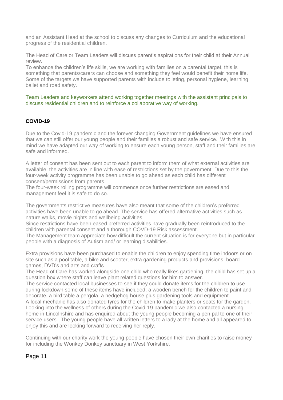and an Assistant Head at the school to discuss any changes to Curriculum and the educational progress of the residential children.

The Head of Care or Team Leaders will discuss parent's aspirations for their child at their Annual review.

To enhance the children's life skills, we are working with families on a parental target, this is something that parents/carers can choose and something they feel would benefit their home life. Some of the targets we have supported parents with include toileting, personal hygiene, learning ballet and road safety.

Team Leaders and keyworkers attend working together meetings with the assistant principals to discuss residential children and to reinforce a collaborative way of working.

## **COVID-19**

Due to the Covid-19 pandemic and the forever changing Government guidelines we have ensured that we can still offer our young people and their families a robust and safe service. With this in mind we have adapted our way of working to ensure each young person, staff and their families are safe and informed.

A letter of consent has been sent out to each parent to inform them of what external activities are available, the activities are in line with ease of restrictions set by the government. Due to this the four-week activity programme has been unable to go ahead as each child has different consent/permissions from parents.

The four-week rolling programme will commence once further restrictions are eased and management feel it is safe to do so.

The governments restrictive measures have also meant that some of the children's preferred activities have been unable to go ahead. The service has offered alternative activities such as nature walks, movie nights and wellbeing activities.

Since restrictions have been eased preferred activities have gradually been reintroduced to the children with parental consent and a thorough COVD-19 Risk assessment.

The Management team appreciate how difficult the current situation is for everyone but in particular people with a diagnosis of Autism and/ or learning disabilities.

Extra provisions have been purchased to enable the children to enjoy spending time indoors or on site such as a pool table, a bike and scooter, extra gardening products and provisions, board games, DVD's and arts and crafts.

The Head of Care has worked alongside one child who really likes gardening, the child has set up a question box where staff can leave plant related questions for him to answer.

The service contacted local businesses to see if they could donate items for the children to use during lockdown some of these items have included; a wooden bench for the children to paint and decorate, a bird table a pergola, a hedgehog house plus gardening tools and equipment.

A local mechanic has also donated tyres for the children to make planters or seats for the garden. Looking into the wellness of others during the Covid-19 pandemic we also contacted a nursing home in Lincolnshire and has enquired about the young people becoming a pen pal to one of their service users. The young people have all written letters to a lady at the home and all appeared to enjoy this and are looking forward to receiving her reply.

Continuing with our charity work the young people have chosen their own charities to raise money for including the Wonkey Donkey sanctuary in West Yorkshire.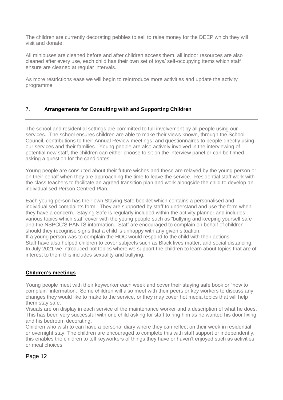The children are currently decorating pebbles to sell to raise money for the DEEP which they will visit and donate.

All minibuses are cleaned before and after children access them, all indoor resources are also cleaned after every use, each child has their own set of toys/ self-occupying items which staff ensure are cleaned at regular intervals.

As more restrictions ease we will begin to reintroduce more activities and update the activity programme.

## 7. **Arrangements for Consulting with and Supporting Children**

The school and residential settings are committed to full involvement by all people using our services. The school ensures children are able to make their views known, through the School Council, contributions to their Annual Review meetings, and questionnaires to people directly using our services and their families. Young people are also actively involved in the interviewing of potential new staff, the children can either choose to sit on the interview panel or can be filmed asking a question for the candidates.

Young people are consulted about their future wishes and these are relayed by the young person or on their behalf when they are approaching the time to leave the service. Residential staff work with the class teachers to facilitate an agreed transition plan and work alongside the child to develop an individualised Person Centred Plan.

Each young person has their own Staying Safe booklet which contains a personalised and individualised complaints form. They are supported by staff to understand and use the form when they have a concern. Staying Safe is regularly included within the activity planner and includes various topics which staff cover with the young people such as "bullying and keeping yourself safe and the NSPCC'S PANTS information. Staff are encouraged to complain on behalf of children should they recognise signs that a child is unhappy with any given situation.

If a young person was to complain the HOC would respond to the child with their actions. Staff have also helped children to cover subjects such as Black lives matter, and social distancing. In July 2021 we introduced hot topics where we support the children to learn about topics that are of interest to them this includes sexuality and bullying.

#### **Children's meetings**

Young people meet with their keyworker each week and cover their staying safe book or "how to complain" information. Some children will also meet with their peers or key workers to discuss any changes they would like to make to the service, or they may cover hot media topics that will help them stay safe.

Visuals are on display in each service of the maintenance worker and a description of what he does. This has been very successful with one child asking for staff to ring him as he wanted his door fixing and his bedroom decorating.

Children who wish to can have a personal diary where they can reflect on their week in residential or overnight stay. The children are encouraged to complete this with staff support or independently, this enables the children to tell keyworkers of things they have or haven't enjoyed such as activities or meal choices.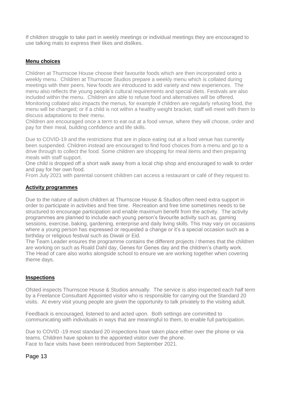If children struggle to take part in weekly meetings or individual meetings they are encouraged to use talking mats to express their likes and dislikes.

## **Menu choices**

Children at Thurnscoe House choose their favourite foods which are then incorporated onto a weekly menu. Children at Thurnscoe Studios prepare a weekly menu which is collated during meetings with their peers. New foods are introduced to add variety and new experiences. The menu also reflects the young people's cultural requirements and special diets. Festivals are also included within the menu. Children are able to refuse food and alternatives will be offered. Monitoring collated also impacts the menus, for example if children are regularly refusing food, the menu will be changed; or if a child is not within a healthy weight bracket, staff will meet with them to discuss adaptations to their menu.

Children are encouraged once a term to eat out at a food venue, where they will choose, order and pay for their meal, building confidence and life skills.

Due to COVID-19 and the restrictions that are in place eating out at a food venue has currently been suspended. Children instead are encouraged to find food choices from a menu and go to a drive through to collect the food. Some children are shopping for meal items and then preparing meals with staff support.

One child is dropped off a short walk away from a local chip shop and encouraged to walk to order and pay for her own food.

From July 2021 with parental consent children can access a restaurant or café of they request to.

#### **Activity programmes**

Due to the nature of autism children at Thurnscoe House & Studios often need extra support in order to participate in activities and free time. Recreation and free time sometimes needs to be structured to encourage participation and enable maximum benefit from the activity. The activity programmes are planned to include each young person's favourite activity such as, gaming sessions, exercise, baking, gardening, enterprise and daily living skills. This may vary on occasions where a young person has expressed or requested a change or it's a special occasion such as a birthday or religious festival such as Diwali or Eid.

The Team Leader ensures the programme contains the different projects / themes that the children are working on such as Roald Dahl day, Genes for Genes day and the children's charity work. The Head of care also works alongside school to ensure we are working together when covering theme days.

#### **Inspections**

Ofsted inspects Thurnscoe House & Studios annually. The service is also inspected each half term by a Freelance Consultant Appointed visitor who is responsible for carrying out the Standard 20 visits. At every visit young people are given the opportunity to talk privately to the visiting adult.

Feedback is encouraged, listened to and acted upon. Both settings are committed to communicating with individuals in ways that are meaningful to them, to enable full participation.

Due to COVID -19 most standard 20 inspections have taken place either over the phone or via teams. Children have spoken to the appointed visitor over the phone. Face to face visits have been reintroduced from September 2021.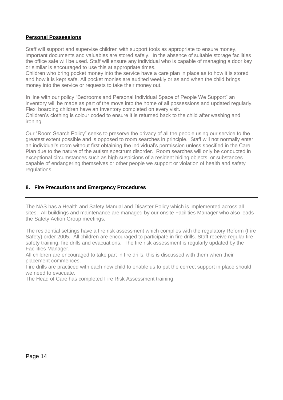#### **Personal Possessions**

Staff will support and supervise children with support tools as appropriate to ensure money, important documents and valuables are stored safely. In the absence of suitable storage facilities the office safe will be used. Staff will ensure any individual who is capable of managing a door key or similar is encouraged to use this at appropriate times.

Children who bring pocket money into the service have a care plan in place as to how it is stored and how it is kept safe. All pocket monies are audited weekly or as and when the child brings money into the service or requests to take their money out.

In line with our policy "Bedrooms and Personal Individual Space of People We Support" an inventory will be made as part of the move into the home of all possessions and updated regularly. Flexi boarding children have an Inventory completed on every visit.

Children's clothing is colour coded to ensure it is returned back to the child after washing and ironing.

Our "Room Search Policy" seeks to preserve the privacy of all the people using our service to the greatest extent possible and is opposed to room searches in principle. Staff will not normally enter an individual's room without first obtaining the individual's permission unless specified in the Care Plan due to the nature of the autism spectrum disorder. Room searches will only be conducted in exceptional circumstances such as high suspicions of a resident hiding objects, or substances capable of endangering themselves or other people we support or violation of health and safety regulations.

## **8. Fire Precautions and Emergency Procedures**

The NAS has a Health and Safety Manual and Disaster Policy which is implemented across all sites. All buildings and maintenance are managed by our onsite Facilities Manager who also leads the Safety Action Group meetings.

The residential settings have a fire risk assessment which complies with the regulatory Reform (Fire Safety) order 2005. All children are encouraged to participate in fire drills. Staff receive regular fire safety training, fire drills and evacuations. The fire risk assessment is regularly updated by the Facilities Manager.

All children are encouraged to take part in fire drills, this is discussed with them when their placement commences.

Fire drills are practiced with each new child to enable us to put the correct support in place should we need to evacuate.

The Head of Care has completed Fire Risk Assessment training.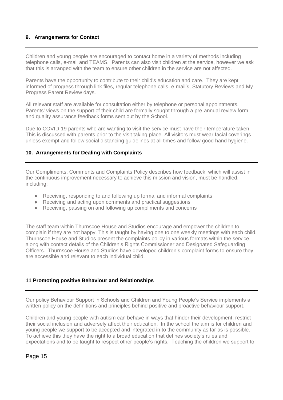#### **9. Arrangements for Contact**

Children and young people are encouraged to contact home in a variety of methods including telephone calls, e-mail and TEAMS. Parents can also visit children at the service, however we ask that this is arranged with the team to ensure other children in the service are not affected.

Parents have the opportunity to contribute to their child's education and care. They are kept informed of progress through link files, regular telephone calls, e-mail's, Statutory Reviews and My Progress Parent Review days.

All relevant staff are available for consultation either by telephone or personal appointments. Parents' views on the support of their child are formally sought through a pre-annual review form and quality assurance feedback forms sent out by the School.

Due to COVID-19 parents who are wanting to visit the service must have their temperature taken. This is discussed with parents prior to the visit taking place. All visitors must wear facial coverings unless exempt and follow social distancing guidelines at all times and follow good hand hygiene.

#### **10. Arrangements for Dealing with Complaints**

Our Compliments, Comments and Complaints Policy describes how feedback, which will assist in the continuous improvement necessary to achieve this mission and vision, must be handled, including:

- Receiving, responding to and following up formal and informal complaints
- Receiving and acting upon comments and practical suggestions
- Receiving, passing on and following up compliments and concerns

The staff team within Thurnscoe House and Studios encourage and empower the children to complain if they are not happy. This is taught by having one to one weekly meetings with each child. Thurnscoe House and Studios present the complaints policy in various formats within the service, along with contact details of the Children's Rights Commissioner and Designated Safeguarding Officers. Thurnscoe House and Studios have developed children's complaint forms to ensure they are accessible and relevant to each individual child.

#### **11 Promoting positive Behaviour and Relationships**

Our policy Behaviour Support in Schools and Children and Young People's Service implements a written policy on the definitions and principles behind positive and proactive behaviour support.

Children and young people with autism can behave in ways that hinder their development, restrict their social inclusion and adversely affect their education. In the school the aim is for children and young people we support to be accepted and integrated in to the community as far as is possible. To achieve this they have the right to a broad education that defines society's rules and expectations and to be taught to respect other people's rights. Teaching the children we support to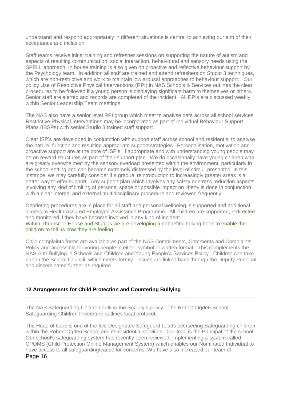understand and respond appropriately in different situations is central to achieving our aim of their acceptance and inclusion.

Staff teams receive initial training and refresher sessions on supporting the nature of autism and aspects of resulting communication, social interaction, behavioural and sensory needs using the SPELL approach. In house training is also given on proactive and reflective behaviour support by the Psychology team. In addition all staff are trained and attend refreshers on Studio 3 techniques, which are non-restrictive and work to maintain low arousal approaches to behaviour support. Our policy Use of Restrictive Physical Interventions (RPI) in NAS Schools & Services outlines the clear procedures to be followed if a young person is displaying significant harm to themselves or others. Senior staff are alerted and records are completed of the incident. All RPIs are discussed weekly within Senior Leadership Team meetings.

The NAS also have a senior level RPI group which meet to analyse data across all school services. Restrictive Physical Interventions may be incorporated as part of Individual Behaviour Support Plans (IBSPs) with senior Studio 3 trained staff support.

Clear ISP's are developed in conjunction with support staff across school and residential to analyse the nature, function and resulting appropriate support strategies. Personalisation, motivation and proactive support are at the core of ISP's. If appropriate and with understanding young people may be on reward structures as part of their support plan. We do occasionally have young children who are greatly overwhelmed by the sensory overload presented within the environment; particularly in the school setting and can become extremely distressed by the level of stimuli presented. In this instance, we may carefully consider if a gradual reintroduction to increasingly greater areas is a better way to offer support. Any support plan which involves any safety or stress reduction aspects involving any kind of limiting of personal space or possible impact on liberty is done in conjunction with a clear internal and external multidisciplinary procedure and reviewed frequently.

Debriefing procedures are in place for all staff and personal wellbeing is supported and additional access to Health Assured Employee Assistance Programme. All children are supported, redirected and monitored if they have become involved in any kind of incident.

#### Within Thurnscoe House and Studios we are developing a debriefing talking book to enable the children to tell us how they are feeling.

Child complaints forms are available as part of the NAS Compliments, Comments and Complaints Policy and accessible for young people in either symbol or written format. This complements the NAS Anti-Bullying in Schools and Children and Young People's Services Policy. Children can take part in the School Council, which meets termly. Issues are linked back through the Deputy Principal and disseminated further as required.

**\_\_\_\_\_\_\_\_\_\_\_\_\_\_\_\_\_\_\_\_\_\_\_\_\_\_\_\_\_\_\_\_\_\_\_\_\_\_\_\_\_\_\_\_\_\_\_\_\_\_\_\_\_\_\_\_\_\_\_\_\_\_\_\_\_\_\_\_\_\_\_\_\_\_\_\_\_\_\_**

## **12 Arrangements for Child Protection and Countering Bullying**

The NAS Safeguarding Children outline the Society's policy. The Robert Ogden School Safeguarding Children Procedure outlines local protocol.

Page 16 The Head of Care is one of the five Designated Safeguard Leads overseeing Safeguarding children within the Robert Ogden School and its residential services. Our lead is the Principal of the school. Our school's safeguarding system has recently been reviewed, implementing a system called CPOMS (Child Protection Online Management System) which enables our Nominated Individual to have access to all safeguarding/cause for concerns. We have also increased our team of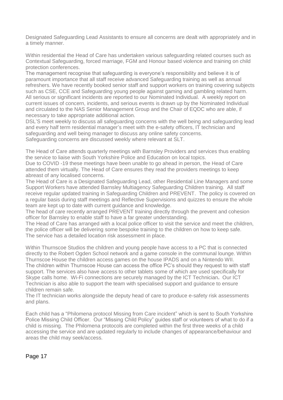Designated Safeguarding Lead Assistants to ensure all concerns are dealt with appropriately and in a timely manner.

Within residential the Head of Care has undertaken various safeguarding related courses such as Contextual Safeguarding, forced marriage, FGM and Honour based violence and training on child protection conferences.

The management recognise that safeguarding is everyone's responsibility and believe it is of paramount importance that all staff receive advanced Safeguarding training as well as annual refreshers. We have recently booked senior staff and support workers on training covering subjects such as CSE, CCE and Safeguarding young people against gaming and gambling related harm. All serious or significant incidents are reported to our Nominated Individual. A weekly report on current issues of concern, incidents, and serious events is drawn up by the Nominated Individual and circulated to the NAS Senior Management Group and the Chair of EQDC who are able, if necessary to take appropriate additional action.

DSL'S meet weekly to discuss all safeguarding concerns with the well being and safeguarding lead and every half term residential manager's meet with the e-safety officers, IT technician and safeguarding and well being manager to discuss any online safety concerns. Safeguarding concerns are discussed weekly where relevant at SLT.

The Head of Care attends quarterly meetings with Barnsley Providers and services thus enabling the service to liaise with South Yorkshire Police and Education on local topics.

Due to COVID -19 these meetings have been unable to go ahead in person, the Head of Care attended them virtually. The Head of Care ensures they read the providers meetings to keep abreast of any localised concerns.

The Head of Care is a Designated Safeguarding Lead, other Residential Line Managers and some Support Workers have attended Barnsley Multiagency Safeguarding Children training. All staff receive regular updated training in Safeguarding Children and PREVENT. The policy is covered on a regular basis during staff meetings and Reflective Supervisions and quizzes to ensure the whole team are kept up to date with current guidance and knowledge.

The head of care recently arranged PREVENT training directly through the prevent and cohesion officer for Barnsley to enable staff to have a far greater understanding.

The Head of Care has arranged with a local police officer to visit the service and meet the children, the police officer will be delivering some bespoke training to the children on how to keep safe. The service has a detailed location risk assessment in place.

Within Thurnscoe Studios the children and young people have access to a PC that is connected directly to the Robert Ogden School network and a game console in the communal lounge. Within Thurnscoe House the children access games on the house IPADS and on a Nintendo WII. The children within Thurnscoe House can access the office PC's should they request to with staff support. The services also have access to other tablets some of which are used specifically for Skype calls home. Wi-Fi connections are securely managed by the ICT Technician**.** Our ICT Technician is also able to support the team with specialised support and guidance to ensure children remain safe.

The IT technician works alongside the deputy head of care to produce e-safety risk assessments and plans.

Each child has a "Philomena protocol Missing from Care incident" which is sent to South Yorkshire Police Missing Child Officer. Our "Missing Child Policy" guides staff or volunteers of what to do if a child is missing. The Philomena protocols are completed within the first three weeks of a child accessing the service and are updated regularly to include changes of appearance/behaviour and areas the child may seek/access.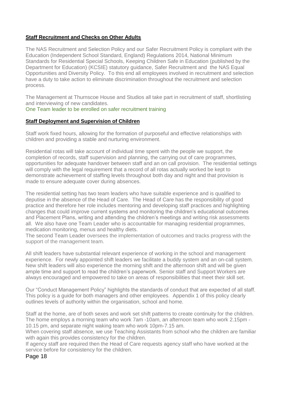### **Staff Recruitment and Checks on Other Adults**

The NAS Recruitment and Selection Policy and our Safer Recruitment Policy is compliant with the Education (Independent School Standard, England) Regulations 2014, National Minimum Standards for Residential Special Schools, Keeping Children Safe in Education (published by the Department for Education) (KCSIE) statutory guidance, Safer Recruitment and the NAS Equal Opportunities and Diversity Policy. To this end all employees involved in recruitment and selection have a duty to take action to eliminate discrimination throughout the recruitment and selection process.

The Management at Thurnscoe House and Studios all take part in recruitment of staff, shortlisting and interviewing of new candidates.

#### One Team leader to be enrolled on safer recruitment training

#### **Staff Deployment and Supervision of Children**

Staff work fixed hours, allowing for the formation of purposeful and effective relationships with children and providing a stable and nurturing environment.

Residential rotas will take account of individual time spent with the people we support, the completion of records, staff supervision and planning, the carrying out of care programmes, opportunities for adequate handover between staff and an on call provision. The residential settings will comply with the legal requirement that a record of all rotas actually worked be kept to demonstrate achievement of staffing levels throughout both day and night and that provision is made to ensure adequate cover during absences.

The residential setting has two team leaders who have suitable experience and is qualified to deputise in the absence of the Head of Care. The Head of Care has the responsibility of good practice and therefore her role includes mentoring and developing staff practices and highlighting changes that could improve current systems and monitoring the children's educational outcomes and Placement Plans, writing and attending the children's meetings and writing risk assessments all. We also have one Team Leader who is accountable for managing residential programmes, medication monitoring, menus and healthy diets.

The second Team Leader oversees the implementation of outcomes and tracks progress with the support of the management team.

All shift leaders have substantial relevant experience of working in the school and management experience. For newly appointed shift leaders we facilitate a buddy system and an on-call system. New shift leaders will also experience the morning shift and the afternoon shift and will be given ample time and support to read the children's paperwork. Senior staff and Support Workers are always encouraged and empowered to take on areas of responsibilities that meet their skill set.

Our "Conduct Management Policy" highlights the standards of conduct that are expected of all staff. This policy is a guide for both managers and other employees. Appendix 1 of this policy clearly outlines levels of authority within the organisation, school and home.

Staff at the home, are of both sexes and work set shift patterns to create continuity for the children. The home employs a morning team who work 7am -10am, an afternoon team who work 2.15pm - 10.15 pm, and separate night waking team who work 10pm-7.15 am.

When covering staff absence, we use Teaching Assistants from school who the children are familiar with again this provides consistency for the children.

If agency staff are required then the Head of Care requests agency staff who have worked at the service before for consistency for the children.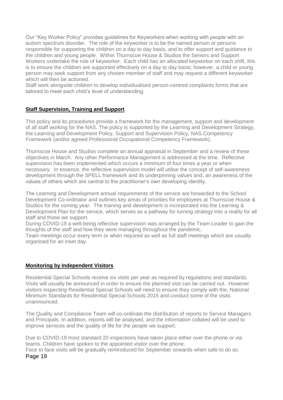Our "Key Worker Policy" provides guidelines for Keyworkers when working with people with an autism spectrum disorder. The role of the keyworker is to be the named person or persons responsible for supporting the children on a day to day basis, and to offer support and guidance to the children and young people. Within Thurnscoe House & Studios the Seniors and Support Workers undertake the role of keyworker. Each child has an allocated keyworker on each shift, this is to ensure the children are supported effectively on a day to day basis; however, a child or young person may seek support from any chosen member of staff and may request a different keyworker which will then be actioned.

Staff work alongside children to develop individualised person-centred complaints forms that are tailored to meet each child's level of understanding.

### **Staff Supervision, Training and Support**

This policy and its procedures provide a framework for the management, support and development of all staff working for the NAS. The policy is supported by the Learning and Development Strategy, the Learning and Development Policy, Support and Supervision Policy, NAS Competency Framework (and/or agreed Professional Occupational Competency Framework).

Thurnscoe House and Studios complete an annual appraisal in September and a review of these objectives in March. Any other Performance Management is addressed at the time. Reflective supervision has been implemented which occurs a minimum of four times a year or when necessary. In essence, the reflective supervision model will utilise the concept of self-awareness development through the SPELL framework and its underpinning values and, an awareness of the values of others which are central to the practitioner's own developing identity.

The Learning and Development annual requirements of the service are forwarded to the School Development Co-ordinator and outlines key areas of priorities for employees at Thurnscoe House & Studios for the coming year. The training and development is incorporated into the Learning & Development Plan for the service, which serves as a pathway for turning strategy into a reality for all staff and those we support.

During COVID-19 a well-being reflective supervision was arranged by the Team Leader to gain the thoughts of the staff and how they were managing throughout the pandemic.

Team meetings occur every term or when required as well as full staff meetings which are usually organised for an inset day.

#### **Monitoring by Independent Visitors**

Residential Special Schools receive six visits per year as required by regulations and standards. Visits will usually be announced in order to ensure the planned visit can be carried out. However visitors inspecting Residential Special Schools will need to ensure they comply with the, National Minimum Standards for Residential Special Schools 2015 and conduct some of the visits unannounced.

The Quality and Compliance Team will co-ordinate the distribution of reports to Service Managers and Principals. In addition, reports will be analysed, and the information collated will be used to improve services and the quality of life for the people we support.

Due to COVID-19 most standard 20 inspections have taken place either over the phone or via teams. Children have spoken to the appointed visitor over the phone.

Page 19 Face to face visits will be gradually reintroduced for September onwards when safe to do so.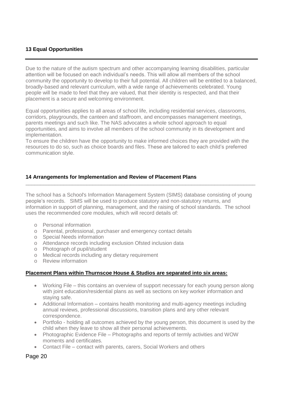## **13 Equal Opportunities**

Due to the nature of the autism spectrum and other accompanying learning disabilities, particular attention will be focused on each individual's needs. This will allow all members of the school community the opportunity to develop to their full potential. All children will be entitled to a balanced, broadly-based and relevant curriculum, with a wide range of achievements celebrated. Young people will be made to feel that they are valued, that their identity is respected, and that their placement is a secure and welcoming environment.

Equal opportunities applies to all areas of school life, including residential services, classrooms, corridors, playgrounds, the canteen and staffroom, and encompasses management meetings, parents meetings and such like. The NAS advocates a whole school approach to equal opportunities, and aims to involve all members of the school community in its development and implementation.

To ensure the children have the opportunity to make informed choices they are provided with the resources to do so, such as choice boards and files. These are tailored to each child's preferred communication style.

#### **14 Arrangements for Implementation and Review of Placement Plans**

The school has a School's Information Management System (SIMS) database consisting of young people's records. SIMS will be used to produce statutory and non-statutory returns, and information in support of planning, management, and the raising of school standards. The school uses the recommended core modules, which will record details of:

**\_\_\_\_\_\_\_\_\_\_\_\_\_\_\_\_\_\_\_\_\_\_\_\_\_\_\_\_\_\_\_\_\_\_\_\_\_\_\_\_\_\_\_\_\_\_\_\_\_\_\_\_\_\_\_\_\_\_\_\_\_\_\_\_\_\_\_\_\_\_\_\_\_\_\_\_\_\_\_**

- o Personal information
- o Parental, professional, purchaser and emergency contact details
- o Special Needs information
- o Attendance records including exclusion Ofsted inclusion data
- o Photograph of pupil/student
- o Medical records including any dietary requirement
- o Review information

#### **Placement Plans within Thurnscoe House & Studios are separated into six areas:**

- Working File this contains an overview of support necessary for each young person along with joint education/residential plans as well as sections on key worker information and staying safe.
- Additional Information contains health monitoring and multi-agency meetings including annual reviews, professional discussions, transition plans and any other relevant correspondence.
- Portfolio holding all outcomes achieved by the young person, this document is used by the child when they leave to show all their personal achievements.
- Photographic Evidence File Photographs and reports of termly activities and WOW moments and certificates.
- Contact File contact with parents, carers, Social Workers and others